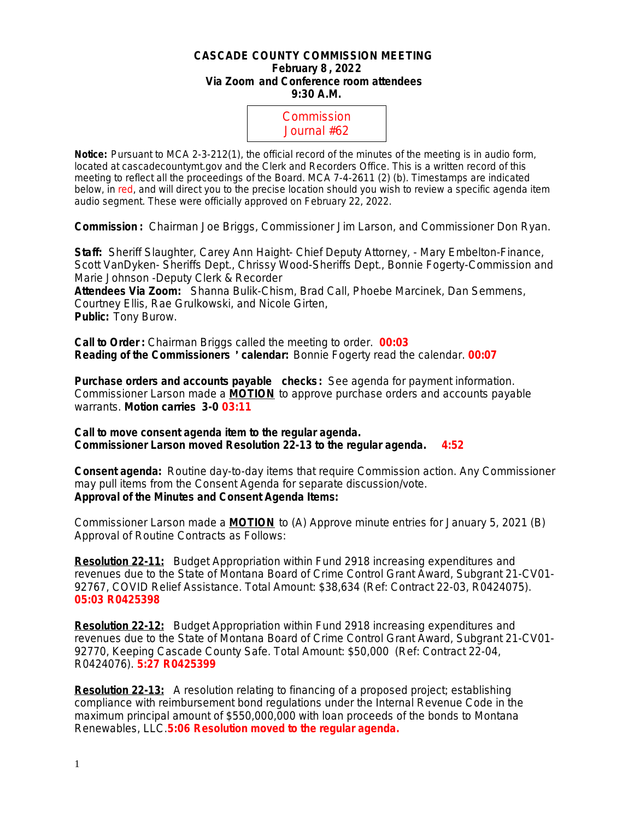## **CASCADE COUNTY COMMISSION MEETING February 8 , 2022 Via Zoom and Conference room attendees 9:30 A.M.**



**Notice:** Pursuant to MCA 2-3-212(1), the official record of the minutes of the meeting is in audio form, located at cascadecountymt.gov and the Clerk and Recorders Office. This is a written record of this meeting to reflect all the proceedings of the Board. MCA 7-4-2611 (2) (b). Timestamps are indicated below, in red, and will direct you to the precise location should you wish to review a specific agenda item audio segment. These were officially approved on February 22, 2022.

**Commission :** Chairman Joe Briggs, Commissioner Jim Larson, and Commissioner Don Ryan.

**Staff:** Sheriff Slaughter, Carey Ann Haight- Chief Deputy Attorney, - Mary Embelton-Finance, Scott VanDyken- Sheriffs Dept., Chrissy Wood-Sheriffs Dept., Bonnie Fogerty-Commission and Marie Johnson -Deputy Clerk & Recorder

**Attendees Via Zoom:** Shanna Bulik-Chism, Brad Call, Phoebe Marcinek, Dan Semmens, Courtney Ellis, Rae Grulkowski, and Nicole Girten, **Public:** Tony Burow.

**Call to Order :** Chairman Briggs called the meeting to order. **00:03 Reading of the Commissioners** ' **calendar:** Bonnie Fogerty read the calendar. **00:07**

**Purchase orders and accounts payable checks:** *See agenda for payment information.* Commissioner Larson made a **MOTION** to approve purchase orders and accounts payable warrants. **Motion carries 3-0 03:11**

**Call to move consent agenda item to the regular agenda. Commissioner Larson moved Resolution 22-13 to the regular agenda. 4:52**

**Consent agenda:** Routine day-to-day items that require Commission action. Any Commissioner may pull items from the Consent Agenda for separate discussion/vote. **Approval of the Minutes and Consent Agenda Items:**

Commissioner Larson made a **MOTION** to (A) Approve minute entries for January 5, 2021 (B) Approval of Routine Contracts as Follows:

**Resolution 22-11:** Budget Appropriation within Fund 2918 increasing expenditures and revenues due to the State of Montana Board of Crime Control Grant Award, Subgrant 21-CV01- 92767, COVID Relief Assistance. Total Amount: \$38,634 (Ref: Contract 22-03, R0424075). **05:03 R0425398**

**Resolution 22-12:** Budget Appropriation within Fund 2918 increasing expenditures and revenues due to the State of Montana Board of Crime Control Grant Award, Subgrant 21-CV01- 92770, Keeping Cascade County Safe. Total Amount: \$50,000 (Ref: Contract 22-04, R0424076). **5:27 R0425399**

*Resolution 22-13: A resolution relating to financing of a proposed project; establishing compliance with reimbursement bond regulations under the Internal Revenue Code in the maximum principal amount of \$550,000,000 with loan proceeds of the bonds to Montana Renewables, LLC.***5:06 Resolution moved to the regular agenda.**